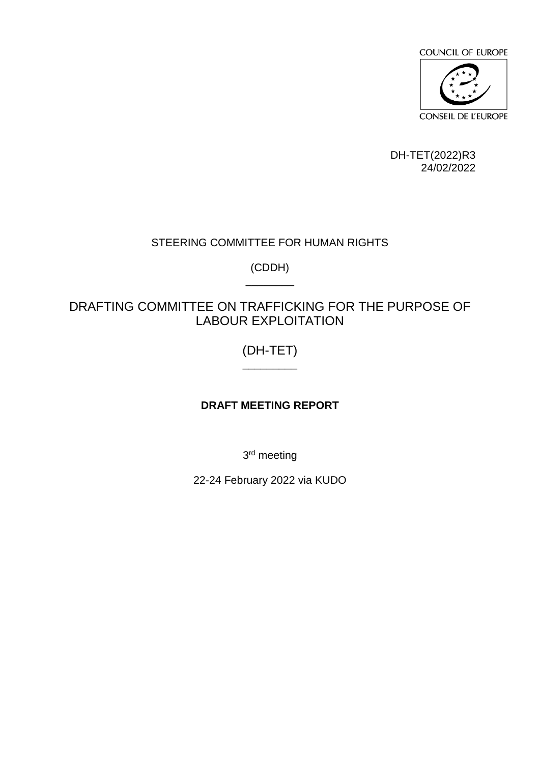

DH-TET(2022)R3 24/02/2022

# STEERING COMMITTEE FOR HUMAN RIGHTS

(CDDH) \_\_\_\_\_\_\_\_

# DRAFTING COMMITTEE ON TRAFFICKING FOR THE PURPOSE OF LABOUR EXPLOITATION

## (DH-TET)  $\overline{\phantom{a}}$

# **DRAFT MEETING REPORT**

3<sup>rd</sup> meeting

22-24 February 2022 via KUDO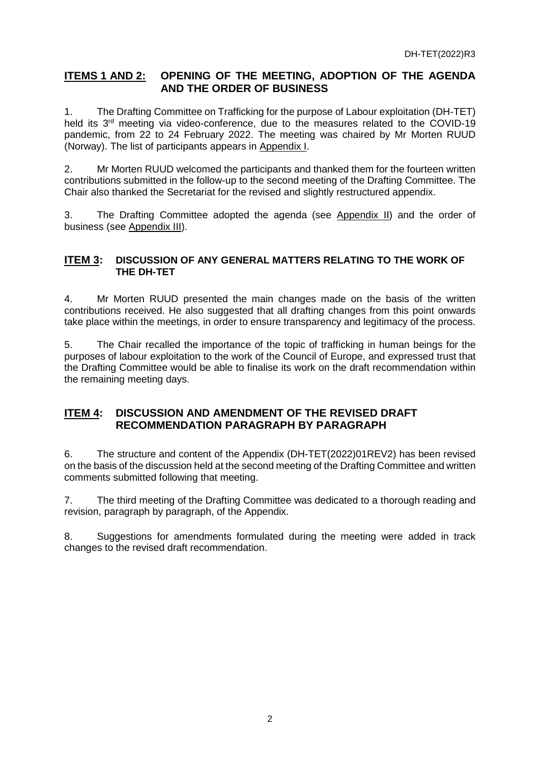### **ITEMS 1 AND 2: OPENING OF THE MEETING, ADOPTION OF THE AGENDA AND THE ORDER OF BUSINESS**

1. The Drafting Committee on Trafficking for the purpose of Labour exploitation (DH-TET) held its 3<sup>rd</sup> meeting via video-conference, due to the measures related to the COVID-19 pandemic, from 22 to 24 February 2022. The meeting was chaired by Mr Morten RUUD (Norway). The list of participants appears in Appendix I.

2. Mr Morten RUUD welcomed the participants and thanked them for the fourteen written contributions submitted in the follow-up to the second meeting of the Drafting Committee. The Chair also thanked the Secretariat for the revised and slightly restructured appendix.

3. The Drafting Committee adopted the agenda (see Appendix II) and the order of business (see Appendix III).

#### **ITEM 3: DISCUSSION OF ANY GENERAL MATTERS RELATING TO THE WORK OF THE DH-TET**

4. Mr Morten RUUD presented the main changes made on the basis of the written contributions received. He also suggested that all drafting changes from this point onwards take place within the meetings, in order to ensure transparency and legitimacy of the process.

5. The Chair recalled the importance of the topic of trafficking in human beings for the purposes of labour exploitation to the work of the Council of Europe, and expressed trust that the Drafting Committee would be able to finalise its work on the draft recommendation within the remaining meeting days.

## **ITEM 4: DISCUSSION AND AMENDMENT OF THE REVISED DRAFT RECOMMENDATION PARAGRAPH BY PARAGRAPH**

6. The structure and content of the Appendix (DH-TET(2022)01REV2) has been revised on the basis of the discussion held at the second meeting of the Drafting Committee and written comments submitted following that meeting.

7. The third meeting of the Drafting Committee was dedicated to a thorough reading and revision, paragraph by paragraph, of the Appendix.

8. Suggestions for amendments formulated during the meeting were added in track changes to the revised draft recommendation.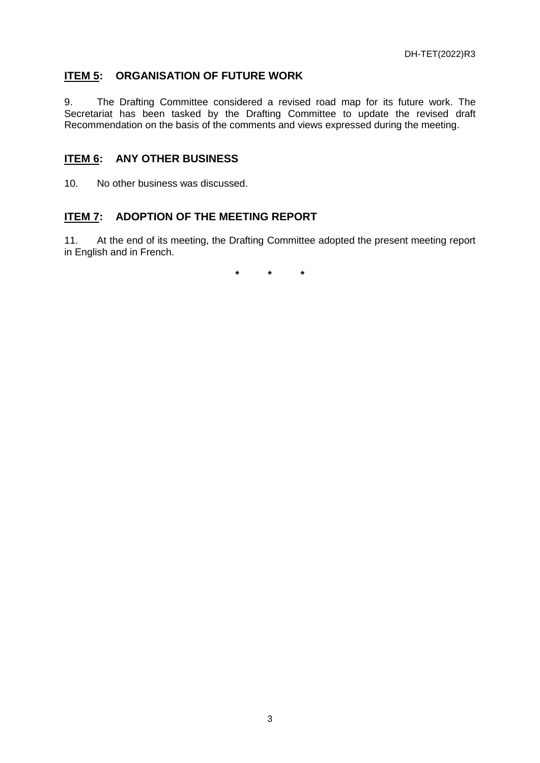## **ITEM 5: ORGANISATION OF FUTURE WORK**

9. The Drafting Committee considered a revised road map for its future work. The Secretariat has been tasked by the Drafting Committee to update the revised draft Recommendation on the basis of the comments and views expressed during the meeting.

### **ITEM 6: ANY OTHER BUSINESS**

10. No other business was discussed.

## **ITEM 7: ADOPTION OF THE MEETING REPORT**

11. At the end of its meeting, the Drafting Committee adopted the present meeting report in English and in French.

**\* \* \***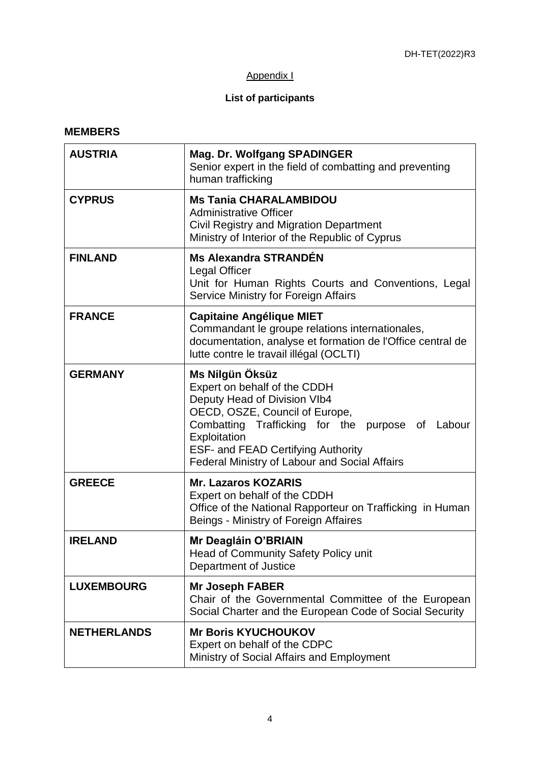## Appendix I

# **List of participants**

#### **MEMBERS**

| <b>AUSTRIA</b>     | <b>Mag. Dr. Wolfgang SPADINGER</b><br>Senior expert in the field of combatting and preventing<br>human trafficking                                                                                                                                                                         |  |
|--------------------|--------------------------------------------------------------------------------------------------------------------------------------------------------------------------------------------------------------------------------------------------------------------------------------------|--|
| <b>CYPRUS</b>      | <b>Ms Tania CHARALAMBIDOU</b><br><b>Administrative Officer</b><br>Civil Registry and Migration Department<br>Ministry of Interior of the Republic of Cyprus                                                                                                                                |  |
| <b>FINLAND</b>     | <b>Ms Alexandra STRANDÉN</b><br><b>Legal Officer</b><br>Unit for Human Rights Courts and Conventions, Legal<br>Service Ministry for Foreign Affairs                                                                                                                                        |  |
| <b>FRANCE</b>      | <b>Capitaine Angélique MIET</b><br>Commandant le groupe relations internationales,<br>documentation, analyse et formation de l'Office central de<br>lutte contre le travail illégal (OCLTI)                                                                                                |  |
| <b>GERMANY</b>     | Ms Nilgün Öksüz<br>Expert on behalf of the CDDH<br>Deputy Head of Division VIb4<br>OECD, OSZE, Council of Europe,<br>Combatting Trafficking for the purpose of Labour<br>Exploitation<br><b>ESF- and FEAD Certifying Authority</b><br><b>Federal Ministry of Labour and Social Affairs</b> |  |
| <b>GREECE</b>      | <b>Mr. Lazaros KOZARIS</b><br>Expert on behalf of the CDDH<br>Office of the National Rapporteur on Trafficking in Human<br>Beings - Ministry of Foreign Affaires                                                                                                                           |  |
| <b>IRELAND</b>     | Mr Deagláin O'BRIAIN<br>Head of Community Safety Policy unit<br>Department of Justice                                                                                                                                                                                                      |  |
| <b>LUXEMBOURG</b>  | <b>Mr Joseph FABER</b><br>Chair of the Governmental Committee of the European<br>Social Charter and the European Code of Social Security                                                                                                                                                   |  |
| <b>NETHERLANDS</b> | <b>Mr Boris KYUCHOUKOV</b><br>Expert on behalf of the CDPC<br>Ministry of Social Affairs and Employment                                                                                                                                                                                    |  |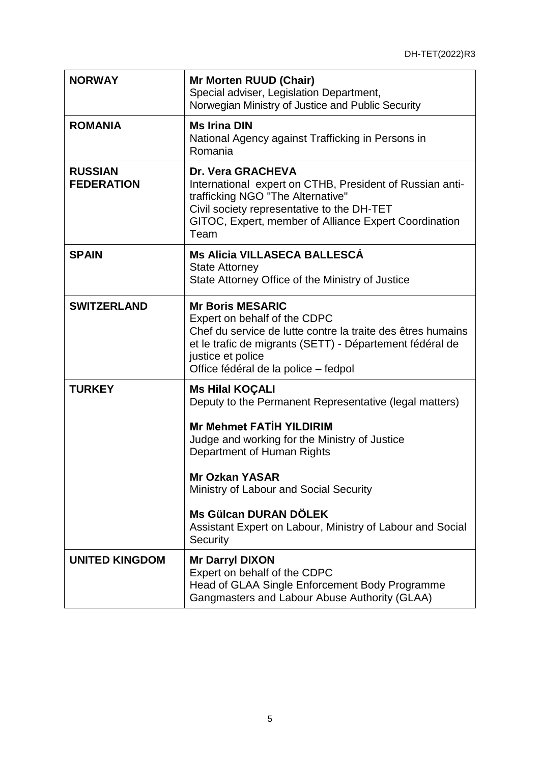| <b>NORWAY</b>                       | <b>Mr Morten RUUD (Chair)</b><br>Special adviser, Legislation Department,<br>Norwegian Ministry of Justice and Public Security                                                                                                                                                                                                                                                 |  |
|-------------------------------------|--------------------------------------------------------------------------------------------------------------------------------------------------------------------------------------------------------------------------------------------------------------------------------------------------------------------------------------------------------------------------------|--|
| <b>ROMANIA</b>                      | <b>Ms Irina DIN</b><br>National Agency against Trafficking in Persons in<br>Romania                                                                                                                                                                                                                                                                                            |  |
| <b>RUSSIAN</b><br><b>FEDERATION</b> | Dr. Vera GRACHEVA<br>International expert on CTHB, President of Russian anti-<br>trafficking NGO "The Alternative"<br>Civil society representative to the DH-TET<br>GITOC, Expert, member of Alliance Expert Coordination<br>Team                                                                                                                                              |  |
| <b>SPAIN</b>                        | Ms Alicia VILLASECA BALLESCÁ<br><b>State Attorney</b><br>State Attorney Office of the Ministry of Justice                                                                                                                                                                                                                                                                      |  |
| <b>SWITZERLAND</b>                  | <b>Mr Boris MESARIC</b><br>Expert on behalf of the CDPC<br>Chef du service de lutte contre la traite des êtres humains<br>et le trafic de migrants (SETT) - Département fédéral de<br>justice et police<br>Office fédéral de la police – fedpol                                                                                                                                |  |
| <b>TURKEY</b>                       | <b>Ms Hilal KOÇALI</b><br>Deputy to the Permanent Representative (legal matters)<br><b>Mr Mehmet FATİH YILDIRIM</b><br>Judge and working for the Ministry of Justice<br>Department of Human Rights<br><b>Mr Ozkan YASAR</b><br>Ministry of Labour and Social Security<br>Ms Gülcan DURAN DÖLEK<br>Assistant Expert on Labour, Ministry of Labour and Social<br><b>Security</b> |  |
| <b>UNITED KINGDOM</b>               | <b>Mr Darryl DIXON</b><br>Expert on behalf of the CDPC<br>Head of GLAA Single Enforcement Body Programme<br>Gangmasters and Labour Abuse Authority (GLAA)                                                                                                                                                                                                                      |  |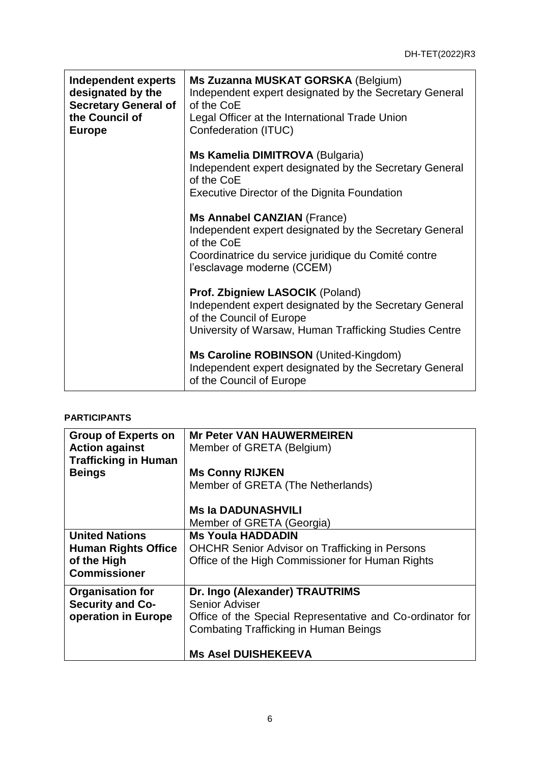| <b>Independent experts</b><br>designated by the<br><b>Secretary General of</b><br>the Council of<br><b>Europe</b> | Ms Zuzanna MUSKAT GORSKA (Belgium)<br>Independent expert designated by the Secretary General<br>of the CoE<br>Legal Officer at the International Trade Union<br>Confederation (ITUC)            |  |
|-------------------------------------------------------------------------------------------------------------------|-------------------------------------------------------------------------------------------------------------------------------------------------------------------------------------------------|--|
|                                                                                                                   | Ms Kamelia DIMITROVA (Bulgaria)<br>Independent expert designated by the Secretary General<br>of the CoE<br><b>Executive Director of the Dignita Foundation</b>                                  |  |
|                                                                                                                   | <b>Ms Annabel CANZIAN (France)</b><br>Independent expert designated by the Secretary General<br>of the CoE<br>Coordinatrice du service juridique du Comité contre<br>l'esclavage moderne (CCEM) |  |
|                                                                                                                   | Prof. Zbigniew LASOCIK (Poland)<br>Independent expert designated by the Secretary General<br>of the Council of Europe<br>University of Warsaw, Human Trafficking Studies Centre                 |  |
|                                                                                                                   | Ms Caroline ROBINSON (United-Kingdom)<br>Independent expert designated by the Secretary General<br>of the Council of Europe                                                                     |  |

#### **PARTICIPANTS**

| <b>Group of Experts on</b>  | <b>Mr Peter VAN HAUWERMEIREN</b>                          |
|-----------------------------|-----------------------------------------------------------|
| <b>Action against</b>       | Member of GRETA (Belgium)                                 |
| <b>Trafficking in Human</b> |                                                           |
| <b>Beings</b>               | <b>Ms Conny RIJKEN</b>                                    |
|                             | Member of GRETA (The Netherlands)                         |
|                             | <b>Ms la DADUNASHVILI</b>                                 |
|                             | Member of GRETA (Georgia)                                 |
| <b>United Nations</b>       | <b>Ms Youla HADDADIN</b>                                  |
| <b>Human Rights Office</b>  | <b>OHCHR Senior Advisor on Trafficking in Persons</b>     |
| of the High                 | Office of the High Commissioner for Human Rights          |
| <b>Commissioner</b>         |                                                           |
| <b>Organisation for</b>     | Dr. Ingo (Alexander) TRAUTRIMS                            |
| <b>Security and Co-</b>     | Senior Adviser                                            |
| operation in Europe         | Office of the Special Representative and Co-ordinator for |
|                             | <b>Combating Trafficking in Human Beings</b>              |
|                             | <b>Ms Asel DUISHEKEEVA</b>                                |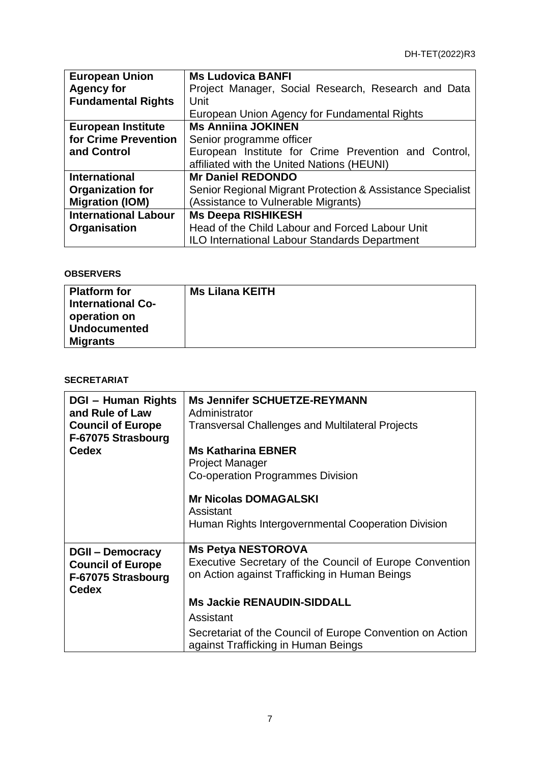| <b>European Union</b>       | <b>Ms Ludovica BANFI</b>                                   |  |  |
|-----------------------------|------------------------------------------------------------|--|--|
| <b>Agency for</b>           | Project Manager, Social Research, Research and Data        |  |  |
| <b>Fundamental Rights</b>   | Unit                                                       |  |  |
|                             | European Union Agency for Fundamental Rights               |  |  |
| <b>European Institute</b>   | <b>Ms Anniina JOKINEN</b>                                  |  |  |
| for Crime Prevention        | Senior programme officer                                   |  |  |
| and Control                 | European Institute for Crime Prevention and Control,       |  |  |
|                             | affiliated with the United Nations (HEUNI)                 |  |  |
| <b>International</b>        | <b>Mr Daniel REDONDO</b>                                   |  |  |
| <b>Organization for</b>     | Senior Regional Migrant Protection & Assistance Specialist |  |  |
| <b>Migration (IOM)</b>      | (Assistance to Vulnerable Migrants)                        |  |  |
| <b>International Labour</b> | <b>Ms Deepa RISHIKESH</b>                                  |  |  |
| Organisation                | Head of the Child Labour and Forced Labour Unit            |  |  |
|                             | <b>ILO International Labour Standards Department</b>       |  |  |

## **OBSERVERS**

| <b>Platform for</b><br><b>International Co-</b><br>operation on | <b>Ms Lilana KEITH</b> |
|-----------------------------------------------------------------|------------------------|
| <b>Undocumented</b>                                             |                        |
| <b>Migrants</b>                                                 |                        |

#### **SECRETARIAT**

| <b>DGI - Human Rights</b><br>and Rule of Law<br><b>Council of Europe</b><br>F-67075 Strasbourg<br><b>Cedex</b> | <b>Ms Jennifer SCHUETZE-REYMANN</b><br>Administrator<br><b>Transversal Challenges and Multilateral Projects</b><br><b>Ms Katharina EBNER</b><br><b>Project Manager</b><br>Co-operation Programmes Division |
|----------------------------------------------------------------------------------------------------------------|------------------------------------------------------------------------------------------------------------------------------------------------------------------------------------------------------------|
|                                                                                                                | <b>Mr Nicolas DOMAGALSKI</b><br>Assistant<br>Human Rights Intergovernmental Cooperation Division                                                                                                           |
| <b>DGII – Democracy</b><br><b>Council of Europe</b><br>F-67075 Strasbourg<br><b>Cedex</b>                      | <b>Ms Petya NESTOROVA</b><br>Executive Secretary of the Council of Europe Convention<br>on Action against Trafficking in Human Beings                                                                      |
|                                                                                                                | <b>Ms Jackie RENAUDIN-SIDDALL</b>                                                                                                                                                                          |
|                                                                                                                | Assistant                                                                                                                                                                                                  |
|                                                                                                                | Secretariat of the Council of Europe Convention on Action<br>against Trafficking in Human Beings                                                                                                           |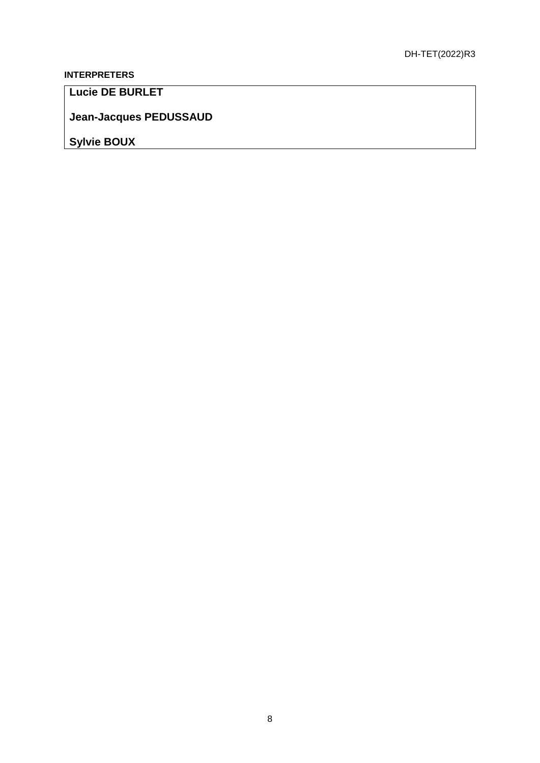# **INTERPRETERS**

**Lucie DE BURLET** 

**Jean-Jacques PEDUSSAUD** 

**Sylvie BOUX**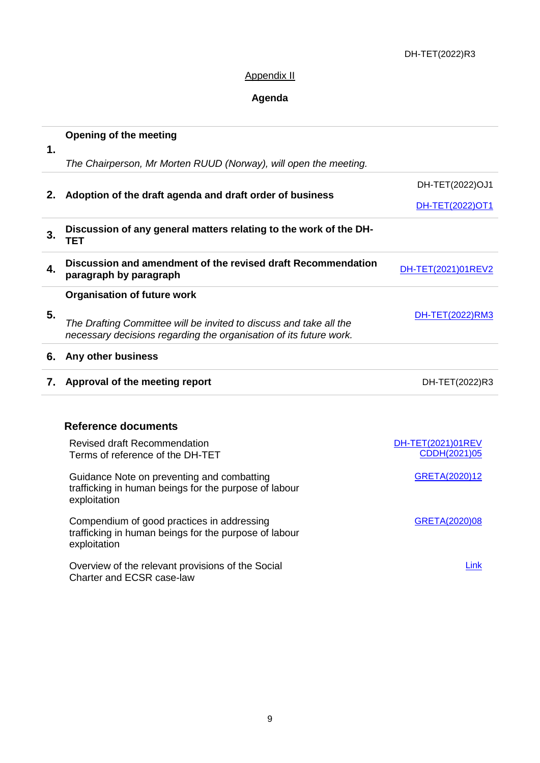#### DH-TET(2022)R3

## Appendix II

# **Agenda**

| $\mathbf 1$ | <b>Opening of the meeting</b>                                                                                                            |                                   |  |
|-------------|------------------------------------------------------------------------------------------------------------------------------------------|-----------------------------------|--|
|             | The Chairperson, Mr Morten RUUD (Norway), will open the meeting.                                                                         |                                   |  |
|             |                                                                                                                                          | DH-TET(2022)OJ1                   |  |
| 2.          | Adoption of the draft agenda and draft order of business                                                                                 | DH-TET(2022)OT1                   |  |
| 3.          | Discussion of any general matters relating to the work of the DH-<br><b>TET</b>                                                          |                                   |  |
| 4.          | Discussion and amendment of the revised draft Recommendation<br>paragraph by paragraph                                                   | DH-TET(2021)01REV2                |  |
|             | <b>Organisation of future work</b>                                                                                                       |                                   |  |
| 5.          | The Drafting Committee will be invited to discuss and take all the<br>necessary decisions regarding the organisation of its future work. | DH-TET(2022)RM3                   |  |
| 6.          | Any other business                                                                                                                       |                                   |  |
| 7.          | Approval of the meeting report                                                                                                           | DH-TET(2022)R3                    |  |
|             | <b>Reference documents</b>                                                                                                               |                                   |  |
|             | <b>Revised draft Recommendation</b><br>Terms of reference of the DH-TET                                                                  | DH-TET(2021)01REV<br>CDDH(2021)05 |  |
|             | Guidance Note on preventing and combatting<br>trafficking in human beings for the purpose of labour<br>exploitation                      | GRETA(2020)12                     |  |
|             | Compendium of good practices in addressing<br>trafficking in human beings for the purpose of labour<br>exploitation                      | GRETA(2020)08                     |  |
|             | Overview of the relevant provisions of the Social                                                                                        | Link                              |  |

Charter and ECSR case-law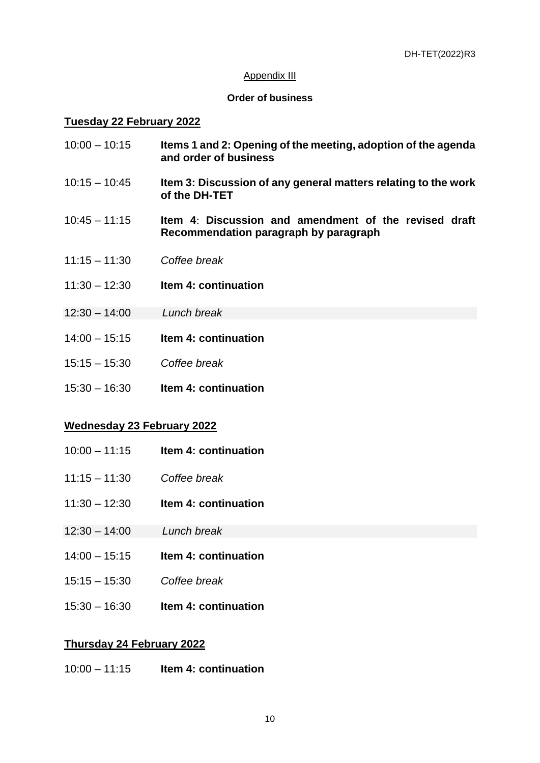#### Appendix III

#### **Order of business**

#### **Tuesday 22 February 2022**

- 10:00 10:15 **Items 1 and 2: Opening of the meeting, adoption of the agenda and order of business**
- 10:15 10:45 **Item 3: Discussion of any general matters relating to the work of the DH-TET**
- 10:45 11:15 **Item 4**: **Discussion and amendment of the revised draft Recommendation paragraph by paragraph**
- 11:15 11:30 *Coffee break*
- 11:30 12:30 **Item 4: continuation**
- 12:30 14:00 *Lunch break*
- 14:00 15:15 **Item 4: continuation**
- 15:15 15:30 *Coffee break*
- 15:30 16:30 **Item 4: continuation**

#### **Wednesday 23 February 2022**

- 10:00 11:15 **Item 4: continuation**
- 11:15 11:30 *Coffee break*
- 11:30 12:30 **Item 4: continuation**
- 12:30 14:00 *Lunch break*
- 14:00 15:15 **Item 4: continuation**
- 15:15 15:30 *Coffee break*
- 15:30 16:30 **Item 4: continuation**

#### **Thursday 24 February 2022**

10:00 – 11:15 **Item 4: continuation**